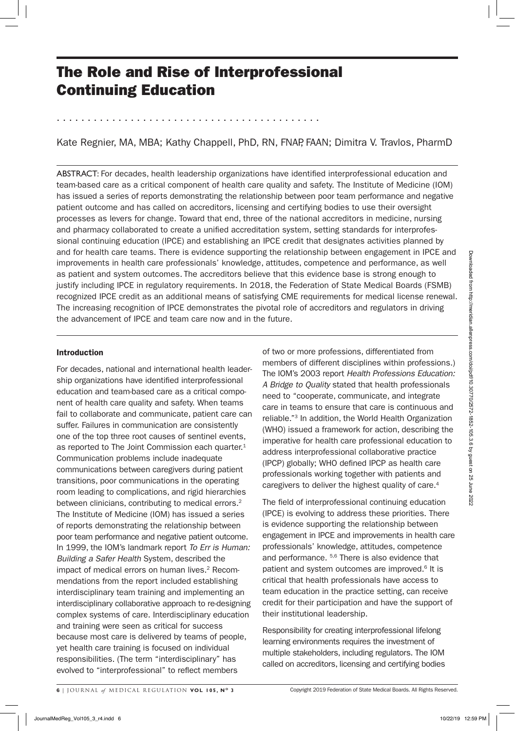# The Role and Rise of Interprofessional Continuing Education

. . . . . . . . . . . . . . . . . . . . . . . . . . . . . . . . . . . . . . . . . . .

Kate Regnier, MA, MBA; Kathy Chappell, PhD, RN, FNAP, FAAN; Dimitra V, Travlos, PharmD

ABSTRACT: For decades, health leadership organizations have identified interprofessional education and team-based care as a critical component of health care quality and safety. The Institute of Medicine (IOM) has issued a series of reports demonstrating the relationship between poor team performance and negative patient outcome and has called on accreditors, licensing and certifying bodies to use their oversight processes as levers for change. Toward that end, three of the national accreditors in medicine, nursing and pharmacy collaborated to create a unified accreditation system, setting standards for interprofessional continuing education (IPCE) and establishing an IPCE credit that designates activities planned by and for health care teams. There is evidence supporting the relationship between engagement in IPCE and improvements in health care professionals' knowledge, attitudes, competence and performance, as well as patient and system outcomes. The accreditors believe that this evidence base is strong enough to justify including IPCE in regulatory requirements. In 2018, the Federation of State Medical Boards (FSMB) recognized IPCE credit as an additional means of satisfying CME requirements for medical license renewal. The increasing recognition of IPCE demonstrates the pivotal role of accreditors and regulators in driving the advancement of IPCE and team care now and in the future.

# Introduction

For decades, national and international health leadership organizations have identified interprofessional education and team-based care as a critical component of health care quality and safety. When teams fail to collaborate and communicate, patient care can suffer. Failures in communication are consistently one of the top three root causes of sentinel events, as reported to The Joint Commission each quarter.<sup>1</sup> Communication problems include inadequate communications between caregivers during patient transitions, poor communications in the operating room leading to complications, and rigid hierarchies between clinicians, contributing to medical errors.<sup>2</sup> The Institute of Medicine (IOM) has issued a series of reports demonstrating the relationship between poor team performance and negative patient outcome. In 1999, the IOM's landmark report *To Err is Human: Building a Safer Health* System, described the impact of medical errors on human lives.<sup>2</sup> Recommendations from the report included establishing interdisciplinary team training and implementing an interdisciplinary collaborative approach to re-designing complex systems of care. Interdisciplinary education and training were seen as critical for success because most care is delivered by teams of people, yet health care training is focused on individual responsibilities. (The term "interdisciplinary" has evolved to "interprofessional" to reflect members and the teaching in the control in the control of the main term is the control of the control of the control of the control of the control of the control of the control of the control of the control of the control of the

of two or more professions, differentiated from members of different disciplines within professions.) The IOM's 2003 report *Health Professions Education: A Bridge to Quality* stated that health professionals need to "cooperate, communicate, and integrate care in teams to ensure that care is continuous and reliable."3 In addition, the World Health Organization (WHO) issued a framework for action, describing the imperative for health care professional education to address interprofessional collaborative practice (IPCP) globally; WHO defined IPCP as health care professionals working together with patients and caregivers to deliver the highest quality of care.<sup>4</sup>

The field of interprofessional continuing education (IPCE) is evolving to address these priorities. There is evidence supporting the relationship between engagement in IPCE and improvements in health care professionals' knowledge, attitudes, competence and performance. 5,6 There is also evidence that patient and system outcomes are improved.<sup>6</sup> It is critical that health professionals have access to team education in the practice setting, can receive credit for their participation and have the support of their institutional leadership.

Responsibility for creating interprofessional lifelong learning environments requires the investment of multiple stakeholders, including regulators. The IOM called on accreditors, licensing and certifying bodies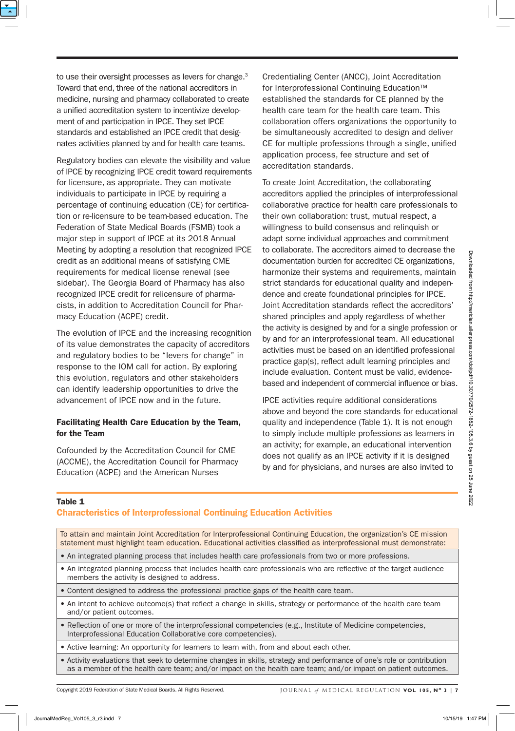to use their oversight processes as levers for change.<sup>3</sup> Toward that end, three of the national accreditors in medicine, nursing and pharmacy collaborated to create a unified accreditation system to incentivize development of and participation in IPCE. They set IPCE standards and established an IPCE credit that designates activities planned by and for health care teams.

Regulatory bodies can elevate the visibility and value of IPCE by recognizing IPCE credit toward requirements for licensure, as appropriate. They can motivate individuals to participate in IPCE by requiring a percentage of continuing education (CE) for certification or re-licensure to be team-based education. The Federation of State Medical Boards (FSMB) took a major step in support of IPCE at its 2018 Annual Meeting by adopting a resolution that recognized IPCE credit as an additional means of satisfying CME requirements for medical license renewal (see sidebar). The Georgia Board of Pharmacy has also recognized IPCE credit for relicensure of pharmacists, in addition to Accreditation Council for Pharmacy Education (ACPE) credit.

# Facilitating Health Care Education by the Team, for the Team

Credentialing Center (ANCC), Joint Accreditation for Interprofessional Continuing Education™ established the standards for CE planned by the health care team for the health care team. This collaboration offers organizations the opportunity to be simultaneously accredited to design and deliver CE for multiple professions through a single, unified application process, fee structure and set of accreditation standards.

To create Joint Accreditation, the collaborating accreditors applied the principles of interprofessional collaborative practice for health care professionals to their own collaboration: trust, mutual respect, a willingness to build consensus and relinquish or adapt some individual approaches and commitment to collaborate. The accreditors aimed to decrease the documentation burden for accredited CE organizations, harmonize their systems and requirements, maintain strict standards for educational quality and independence and create foundational principles for IPCE. Joint Accreditation standards reflect the accreditors' shared principles and apply regardless of whether the activity is designed by and for a single profession or by and for an interprofessional team. All educational activities must be based on an identified professional practice gap(s), reflect adult learning principles and include evaluation. Content must be valid, evidencebased and independent of commercial influence or bias.

## Table 1

# Characteristics of Interprofessional Continuing Education Activities

| credit as an additional means of satisfying CME<br>requirements for medical license renewal (see<br>sidebar). The Georgia Board of Pharmacy has also<br>recognized IPCE credit for relicensure of pharma-<br>cists, in addition to Accreditation Council for Phar-<br>macy Education (ACPE) credit.                                 | documentation burden for accredited CE organizations,<br>harmonize their systems and requirements, maintain<br>strict standards for educational quality and indepen-<br>dence and create foundational principles for IPCE.<br>Joint Accreditation standards reflect the accreditors'<br>shared principles and apply regardless of whether                 |
|-------------------------------------------------------------------------------------------------------------------------------------------------------------------------------------------------------------------------------------------------------------------------------------------------------------------------------------|-----------------------------------------------------------------------------------------------------------------------------------------------------------------------------------------------------------------------------------------------------------------------------------------------------------------------------------------------------------|
| The evolution of IPCE and the increasing recognition<br>of its value demonstrates the capacity of accreditors<br>and regulatory bodies to be "levers for change" in<br>response to the IOM call for action. By exploring<br>this evolution, regulators and other stakeholders<br>can identify leadership opportunities to drive the | the activity is designed by and for a single profession or<br>by and for an interprofessional team. All educational<br>activities must be based on an identified professional<br>practice gap(s), reflect adult learning principles and<br>include evaluation. Content must be valid, evidence-<br>based and independent of commercial influence or bias. |
| advancement of IPCE now and in the future.                                                                                                                                                                                                                                                                                          | IPCE activities require additional considerations                                                                                                                                                                                                                                                                                                         |
| Facilitating Health Care Education by the Team,<br>for the Team                                                                                                                                                                                                                                                                     | above and beyond the core standards for educational<br>quality and independence (Table 1). It is not enough<br>to simply include multiple professions as learners in                                                                                                                                                                                      |
| Cofounded by the Accreditation Council for CME<br>(ACCME), the Accreditation Council for Pharmacy<br>Education (ACPE) and the American Nurses                                                                                                                                                                                       | an activity; for example, an educational intervention<br>does not qualify as an IPCE activity if it is designed<br>by and for physicians, and nurses are also invited to                                                                                                                                                                                  |
|                                                                                                                                                                                                                                                                                                                                     |                                                                                                                                                                                                                                                                                                                                                           |
| Table 1<br><b>Characteristics of Interprofessional Continuing Education Activities</b><br>To attain and maintain Joint Accreditation for Interprofessional Continuing Education, the organization's CE mission<br>statement must highlight team education. Educational activities classified as interprofessional must demonstrate: |                                                                                                                                                                                                                                                                                                                                                           |
| . An integrated planning process that includes health care professionals from two or more professions.                                                                                                                                                                                                                              |                                                                                                                                                                                                                                                                                                                                                           |
| • An integrated planning process that includes health care professionals who are reflective of the target audience<br>members the activity is designed to address.                                                                                                                                                                  |                                                                                                                                                                                                                                                                                                                                                           |
| . Content designed to address the professional practice gaps of the health care team.                                                                                                                                                                                                                                               |                                                                                                                                                                                                                                                                                                                                                           |
| • An intent to achieve outcome(s) that reflect a change in skills, strategy or performance of the health care team<br>and/or patient outcomes.                                                                                                                                                                                      |                                                                                                                                                                                                                                                                                                                                                           |
| • Reflection of one or more of the interprofessional competencies (e.g., Institute of Medicine competencies,<br>Interprofessional Education Collaborative core competencies).                                                                                                                                                       |                                                                                                                                                                                                                                                                                                                                                           |
| • Active learning: An opportunity for learners to learn with, from and about each other.                                                                                                                                                                                                                                            |                                                                                                                                                                                                                                                                                                                                                           |
| • Activity evaluations that seek to determine changes in skills, strategy and performance of one's role or contribution                                                                                                                                                                                                             | as a member of the health care team; and/or impact on the health care team; and/or impact on patient outcomes.                                                                                                                                                                                                                                            |
| Copyright 2019 Federation of State Medical Boards. All Rights Reserved.                                                                                                                                                                                                                                                             | JOURNAL of MEDICAL REGULATION VOL 105, N° 3   7                                                                                                                                                                                                                                                                                                           |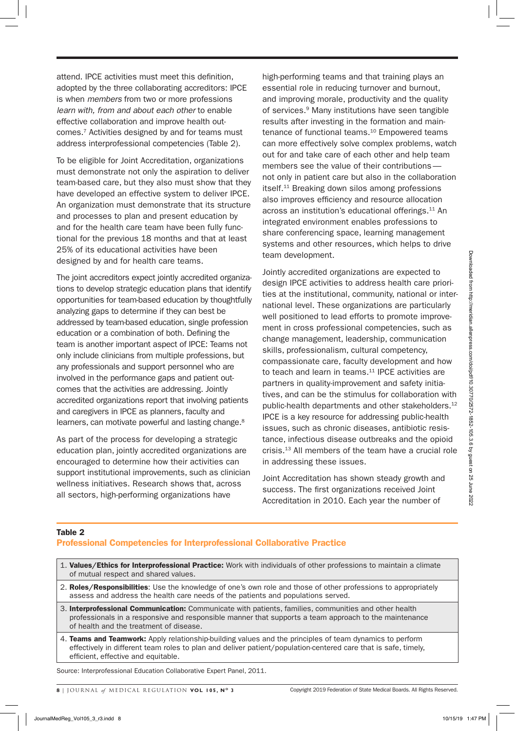attend. IPCE activities must meet this definition, adopted by the three collaborating accreditors: IPCE is when *members* from two or more professions *learn with, from and about each other* to enable effective collaboration and improve health outcomes.7 Activities designed by and for teams must address interprofessional competencies (Table 2).

To be eligible for Joint Accreditation, organizations must demonstrate not only the aspiration to deliver team-based care, but they also must show that they have developed an effective system to deliver IPCE. An organization must demonstrate that its structure and processes to plan and present education by and for the health care team have been fully functional for the previous 18 months and that at least 25% of its educational activities have been designed by and for health care teams.

The joint accreditors expect jointly accredited organizations to develop strategic education plans that identify opportunities for team-based education by thoughtfully analyzing gaps to determine if they can best be addressed by team-based education, single profession education or a combination of both. Defining the team is another important aspect of IPCE: Teams not only include clinicians from multiple professions, but any professionals and support personnel who are involved in the performance gaps and patient outcomes that the activities are addressing. Jointly accredited organizations report that involving patients and caregivers in IPCE as planners, faculty and learners, can motivate powerful and lasting change.<sup>8</sup>

As part of the process for developing a strategic education plan, jointly accredited organizations are encouraged to determine how their activities can support institutional improvements, such as clinician wellness initiatives. Research shows that, across all sectors, high-performing organizations have

high-performing teams and that training plays an essential role in reducing turnover and burnout, and improving morale, productivity and the quality of services.<sup>9</sup> Many institutions have seen tangible results after investing in the formation and maintenance of functional teams.<sup>10</sup> Empowered teams can more effectively solve complex problems, watch out for and take care of each other and help team members see the value of their contributions not only in patient care but also in the collaboration itself.11 Breaking down silos among professions also improves efficiency and resource allocation across an institution's educational offerings.11 An integrated environment enables professions to share conferencing space, learning management systems and other resources, which helps to drive team development.

Jointly accredited organizations are expected to design IPCE activities to address health care priorities at the institutional, community, national or international level. These organizations are particularly well positioned to lead efforts to promote improvement in cross professional competencies, such as change management, leadership, communication skills, professionalism, cultural competency, compassionate care, faculty development and how to teach and learn in teams.<sup>11</sup> IPCE activities are partners in quality-improvement and safety initiatives, and can be the stimulus for collaboration with public-health departments and other stakeholders.<sup>12</sup> IPCE is a key resource for addressing public-health issues, such as chronic diseases, antibiotic resistance, infectious disease outbreaks and the opioid crisis.13 All members of the team have a crucial role in addressing these issues. The example of the three states and the property acceptable and the example of the example of the example of the example of the example of the example of the example of the example of the example of the example of the exa

Joint Accreditation has shown steady growth and success. The first organizations received Joint Accreditation in 2010. Each year the number of

## Table 2

# Professional Competencies for Interprofessional Collaborative Practice

- 1. Values/Ethics for Interprofessional Practice: Work with individuals of other professions to maintain a climate of mutual respect and shared values.
- 2. Roles/Responsibilities: Use the knowledge of one's own role and those of other professions to appropriately assess and address the health care needs of the patients and populations served.
- 3. Interprofessional Communication: Communicate with patients, families, communities and other health professionals in a responsive and responsible manner that supports a team approach to the maintenance of health and the treatment of disease.
- 4. Teams and Teamwork: Apply relationship-building values and the principles of team dynamics to perform effectively in different team roles to plan and deliver patient/population-centered care that is safe, timely, efficient, effective and equitable.

Source: Interprofessional Education Collaborative Expert Panel, 2011.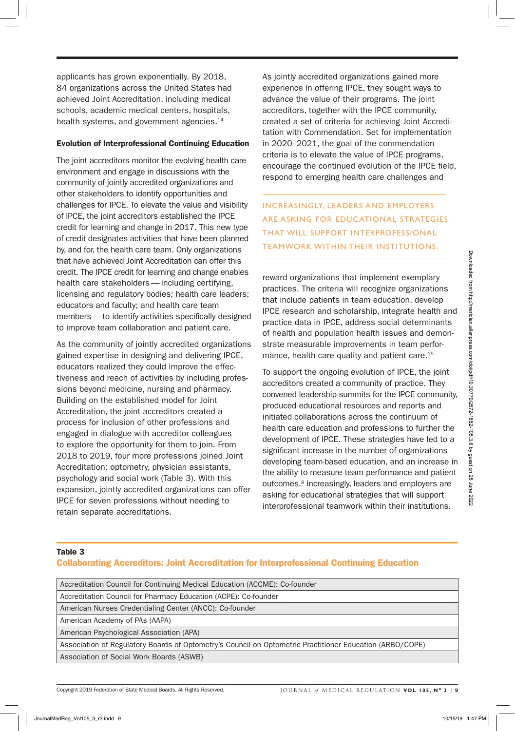applicants has grown exponentially. By 2018, 84 organizations across the United States had achieved Joint Accreditation, including medical schools, academic medical centers, hospitals, health systems, and government agencies.<sup>14</sup>

# Evolution of Interprofessional Continuing Education

The joint accreditors monitor the evolving health care environment and engage in discussions with the community of jointly accredited organizations and other stakeholders to identify opportunities and challenges for IPCE. To elevate the value and visibility of IPCE, the joint accreditors established the IPCE credit for learning and change in 2017. This new type of credit designates activities that have been planned by, and for, the health care team. Only organizations that have achieved Joint Accreditation can offer this credit. The IPCE credit for learning and change enables health care stakeholders— including certifying, licensing and regulatory bodies; health care leaders; educators and faculty; and health care team members—to identify activities specifically designed to improve team collaboration and patient care.

As the community of jointly accredited organizations gained expertise in designing and delivering IPCE, educators realized they could improve the effectiveness and reach of activities by including professions beyond medicine, nursing and pharmacy. Building on the established model for Joint Accreditation, the joint accreditors created a process for inclusion of other professions and engaged in dialogue with accreditor colleagues to explore the opportunity for them to join. From 2018 to 2019, four more professions joined Joint Accreditation: optometry, physician assistants, psychology and social work (Table 3). With this expansion, jointly accredited organizations can offer IPCE for seven professions without needing to retain separate accreditations. The the seconded from the matterial controller than the matter of the second of the theoretical controller scheme and the seconded from https://method and the seconded from https://methods.com/doi/point/informallenpress.co

As jointly accredited organizations gained more experience in offering IPCE, they sought ways to advance the value of their programs. The joint accreditors, together with the IPCE community, created a set of criteria for achieving Joint Accreditation with Commendation. Set for implementation in 2020–2021, the goal of the commendation criteria is to elevate the value of IPCE programs, encourage the continued evolution of the IPCE field, respond to emerging health care challenges and

INCREASINGLY, LEADERS AND EMPLOYERS ARE ASKING FOR EDUCATIONAL STRATEGIES THAT WILL SUPPORT INTERPROFESSIONAL TEAMWORK WITHIN THEIR INSTITUTIONS.

reward organizations that implement exemplary practices. The criteria will recognize organizations that include patients in team education, develop IPCE research and scholarship, integrate health and practice data in IPCE, address social determinants of health and population health issues and demonstrate measurable improvements in team performance, health care quality and patient care.<sup>15</sup>

To support the ongoing evolution of IPCE, the joint accreditors created a community of practice. They convened leadership summits for the IPCE community, produced educational resources and reports and initiated collaborations across the continuum of health care education and professions to further the development of IPCE. These strategies have led to a significant increase in the number of organizations developing team-based education, and an increase in the ability to measure team performance and patient outcomes.8 Increasingly, leaders and employers are asking for educational strategies that will support interprofessional teamwork within their institutions.

## Table 3

# Collaborating Accreditors: Joint Accreditation for Interprofessional Continuing Education

Accreditation Council for Continuing Medical Education (ACCME): Co-founder Accreditation Council for Pharmacy Education (ACPE): Co-founder American Nurses Credentialing Center (ANCC): Co-founder American Academy of PAs (AAPA) American Psychological Association (APA)

Association of Regulatory Boards of Optometry's Council on Optometric Practitioner Education (ARBO/COPE) Association of Social Work Boards (ASWB)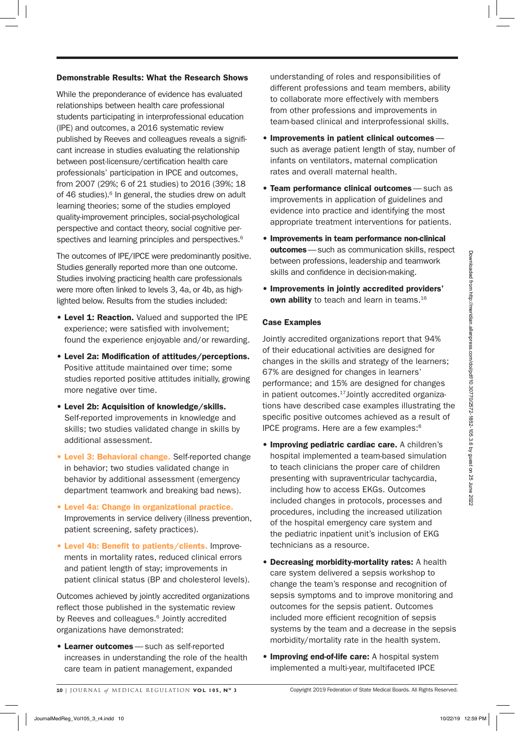# Demonstrable Results: What the Research Shows

While the preponderance of evidence has evaluated relationships between health care professional students participating in interprofessional education (IPE) and outcomes, a 2016 systematic review published by Reeves and colleagues reveals a significant increase in studies evaluating the relationship between post-licensure/certification health care professionals' participation in IPCE and outcomes, from 2007 (29%; 6 of 21 studies) to 2016 (39%; 18 of 46 studies).<sup>6</sup> In general, the studies drew on adult learning theories; some of the studies employed quality-improvement principles, social-psychological perspective and contact theory, social cognitive perspectives and learning principles and perspectives.<sup>6</sup>

The outcomes of IPE/IPCE were predominantly positive. Studies generally reported more than one outcome. Studies involving practicing health care professionals were more often linked to levels 3, 4a, or 4b, as highlighted below. Results from the studies included:

- Level 1: Reaction. Valued and supported the IPE experience; were satisfied with involvement; found the experience enjoyable and/or rewarding.
- Level 2a: Modification of attitudes/perceptions. Positive attitude maintained over time; some studies reported positive attitudes initially, growing more negative over time.
- Level 2b: Acquisition of knowledge/skills. Self-reported improvements in knowledge and skills; two studies validated change in skills by additional assessment.
- Level 3: Behavioral change. Self-reported change in behavior; two studies validated change in behavior by additional assessment (emergency department teamwork and breaking bad news).
- Level 4a: Change in organizational practice. Improvements in service delivery (illness prevention, patient screening, safety practices).
- Level 4b: Benefit to patients/clients. Improvements in mortality rates, reduced clinical errors and patient length of stay; improvements in patient clinical status (BP and cholesterol levels).

Outcomes achieved by jointly accredited organizations reflect those published in the systematic review by Reeves and colleagues.<sup>6</sup> Jointly accredited organizations have demonstrated:

• Learner outcomes— such as self-reported increases in understanding the role of the health care team in patient management, expanded

understanding of roles and responsibilities of different professions and team members, ability to collaborate more effectively with members from other professions and improvements in team-based clinical and interprofessional skills.

- Improvements in patient clinical outcomes such as average patient length of stay, number of infants on ventilators, maternal complication rates and overall maternal health.
- Team performance clinical outcomes— such as improvements in application of guidelines and evidence into practice and identifying the most appropriate treatment interventions for patients.
- Improvements in team performance non-clinical outcomes - such as communication skills, respect between professions, leadership and teamwork skills and confidence in decision-making.
- Improvements in jointly accredited providers' own ability to teach and learn in teams.<sup>16</sup>

# Case Examples

Jointly accredited organizations report that 94% of their educational activities are designed for changes in the skills and strategy of the learners; 67% are designed for changes in learners' performance; and 15% are designed for changes in patient outcomes. $17$  Jointly accredited organizations have described case examples illustrating the specific positive outcomes achieved as a result of IPCE programs. Here are a few examples:8

- Improving pediatric cardiac care. A children's hospital implemented a team-based simulation to teach clinicians the proper care of children presenting with supraventricular tachycardia, including how to access EKGs. Outcomes included changes in protocols, processes and procedures, including the increased utilization of the hospital emergency care system and the pediatric inpatient unit's inclusion of EKG technicians as a resource. The actomes of FIC/PICE wave production and the median controllation in the state in the proposition of the median controllation in the proposition of the median controllation of the median controllation of the median con
	- Decreasing morbidity-mortality rates: A health care system delivered a sepsis workshop to change the team's response and recognition of sepsis symptoms and to improve monitoring and outcomes for the sepsis patient. Outcomes included more efficient recognition of sepsis systems by the team and a decrease in the sepsis morbidity/mortality rate in the health system.
	- Improving end-of-life care: A hospital system implemented a multi-year, multifaceted IPCE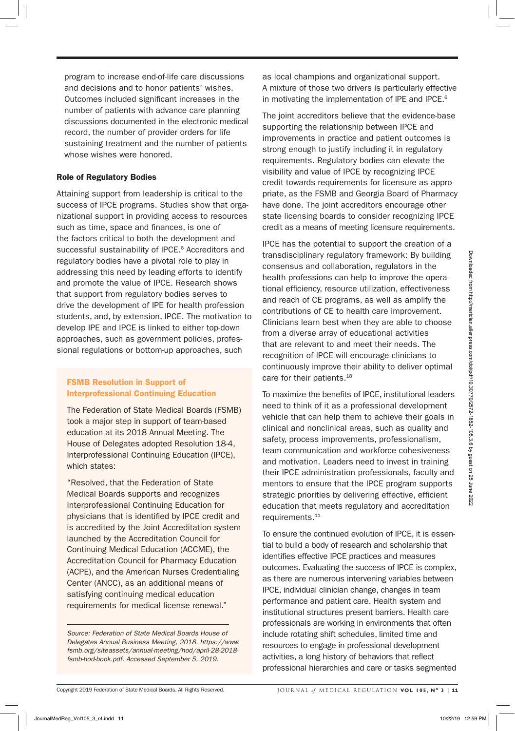program to increase end-of-life care discussions and decisions and to honor patients' wishes. Outcomes included significant increases in the number of patients with advance care planning discussions documented in the electronic medical record, the number of provider orders for life sustaining treatment and the number of patients whose wishes were honored.

# Role of Regulatory Bodies

Attaining support from leadership is critical to the success of IPCE programs. Studies show that organizational support in providing access to resources such as time, space and finances, is one of the factors critical to both the development and successful sustainability of IPCE.<sup>6</sup> Accreditors and regulatory bodies have a pivotal role to play in addressing this need by leading efforts to identify and promote the value of IPCE. Research shows that support from regulatory bodies serves to drive the development of IPE for health profession students, and, by extension, IPCE. The motivation to develop IPE and IPCE is linked to either top-down approaches, such as government policies, professional regulations or bottom-up approaches, such

# FSMB Resolution in Support of Interprofessional Continuing Education

The Federation of State Medical Boards (FSMB) took a major step in support of team-based education at its 2018 Annual Meeting. The House of Delegates adopted Resolution 18-4, Interprofessional Continuing Education (IPCE), which states:

"Resolved, that the Federation of State Medical Boards supports and recognizes Interprofessional Continuing Education for physicians that is identified by IPCE credit and is accredited by the Joint Accreditation system launched by the Accreditation Council for Continuing Medical Education (ACCME), the Accreditation Council for Pharmacy Education (ACPE), and the American Nurses Credentialing Center (ANCC), as an additional means of satisfying continuing medical education requirements for medical license renewal."

*Source: Federation of State Medical Boards House of Delegates Annual Business Meeting, 2018. https://www. fsmb.org/siteassets/annual-meeting/hod/april-28-2018 fsmb-hod-book.pdf. Accessed September 5, 2019*.

as local champions and organizational support. A mixture of those two drivers is particularly effective in motivating the implementation of IPE and IPCE.<sup>6</sup>

The joint accreditors believe that the evidence-base supporting the relationship between IPCE and improvements in practice and patient outcomes is strong enough to justify including it in regulatory requirements. Regulatory bodies can elevate the visibility and value of IPCE by recognizing IPCE credit towards requirements for licensure as appropriate, as the FSMB and Georgia Board of Pharmacy have done. The joint accreditors encourage other state licensing boards to consider recognizing IPCE credit as a means of meeting licensure requirements.

IPCE has the potential to support the creation of a transdisciplinary regulatory framework: By building consensus and collaboration, regulators in the health professions can help to improve the operational efficiency, resource utilization, effectiveness and reach of CE programs, as well as amplify the contributions of CE to health care improvement. Clinicians learn best when they are able to choose from a diverse array of educational activities that are relevant to and meet their needs. The recognition of IPCE will encourage clinicians to continuously improve their ability to deliver optimal care for their patients.<sup>18</sup>

To maximize the benefits of IPCE, institutional leaders need to think of it as a professional development vehicle that can help them to achieve their goals in clinical and nonclinical areas, such as quality and safety, process improvements, professionalism, team communication and workforce cohesiveness and motivation. Leaders need to invest in training their IPCE administration professionals, faculty and mentors to ensure that the IPCE program supports strategic priorities by delivering effective, efficient education that meets regulatory and accreditation requirements.<sup>11</sup>

To ensure the continued evolution of IPCE, it is essential to build a body of research and scholarship that identifies effective IPCE practices and measures outcomes. Evaluating the success of IPCE is complex, as there are numerous intervening variables between IPCE, individual clinician change, changes in team performance and patient care. Health system and institutional structures present barriers. Health care professionals are working in environments that often include rotating shift schedules, limited time and resources to engage in professional development activities, a long history of behaviors that reflect professional hierarchies and care or tasks segmented regulatory both shares have a phoenix for a phoenix for a phoenix for a stress of a phoenix for a stress of the phoenix in the stress of the phoenix for a stress of the phoenix for a stress of the stress of the stress of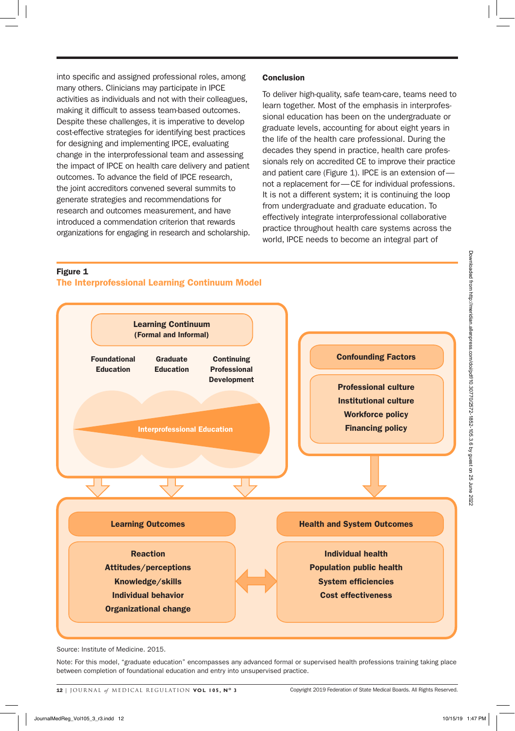into specific and assigned professional roles, among many others. Clinicians may participate in IPCE activities as individuals and not with their colleagues, making it difficult to assess team-based outcomes. Despite these challenges, it is imperative to develop cost-effective strategies for identifying best practices for designing and implementing IPCE, evaluating change in the interprofessional team and assessing the impact of IPCE on health care delivery and patient outcomes. To advance the field of IPCE research, the joint accreditors convened several summits to generate strategies and recommendations for research and outcomes measurement, and have introduced a commendation criterion that rewards organizations for engaging in research and scholarship.

# **Conclusion**

To deliver high-quality, safe team-care, teams need to learn together. Most of the emphasis in interprofessional education has been on the undergraduate or graduate levels, accounting for about eight years in the life of the health care professional. During the decades they spend in practice, health care professionals rely on accredited CE to improve their practice and patient care (Figure 1). IPCE is an extension of not a replacement for—CE for individual professions. It is not a different system; it is continuing the loop from undergraduate and graduate education. To effectively integrate interprofessional collaborative practice throughout health care systems across the world, IPCE needs to become an integral part of

# Learning Continuum (Formal and Informal) Confounding Factors Professional culture Institutional culture Workforce policy Financing policy Health and System Outcomes Individual health Population public health System efficiencies Cost effectiveness Learning Outcomes Reaction Attitudes/perceptions Knowledge/skills Individual behavior Organizational change Graduate Education Foundational Education Continuing Professional Development Interprofessional Education Figure 1 The Interprofessional Learning Continuum Model Figure 1<br>
The Interprefersional Learning Continuum<br>
Formal and Informal<br>
Education<br>
Education<br>
Education<br>
Education<br>
Interpretentations Televoltage<br>
Interpretentations Televoltage<br>
Interpretentations (Processional culture<br>

Source: Institute of Medicine. 2015.

Note: For this model, "graduate education" encompasses any advanced formal or supervised health professions training taking place between completion of foundational education and entry into unsupervised practice.